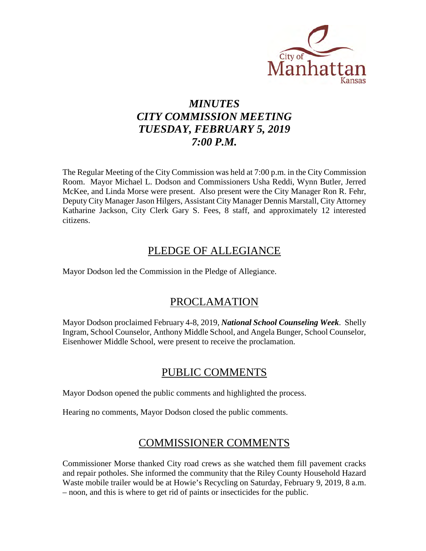

# *MINUTES CITY COMMISSION MEETING TUESDAY, FEBRUARY 5, 2019 7:00 P.M.*

The Regular Meeting of the City Commission was held at 7:00 p.m. in the City Commission Room. Mayor Michael L. Dodson and Commissioners Usha Reddi, Wynn Butler, Jerred McKee, and Linda Morse were present. Also present were the City Manager Ron R. Fehr, Deputy City Manager Jason Hilgers, Assistant City Manager Dennis Marstall, City Attorney Katharine Jackson, City Clerk Gary S. Fees, 8 staff, and approximately 12 interested citizens.

## PLEDGE OF ALLEGIANCE

Mayor Dodson led the Commission in the Pledge of Allegiance.

## PROCLAMATION

Mayor Dodson proclaimed February 4-8, 2019, *National School Counseling Week*. Shelly Ingram, School Counselor, Anthony Middle School, and Angela Bunger, School Counselor, Eisenhower Middle School, were present to receive the proclamation.

## PUBLIC COMMENTS

Mayor Dodson opened the public comments and highlighted the process.

Hearing no comments, Mayor Dodson closed the public comments.

## COMMISSIONER COMMENTS

Commissioner Morse thanked City road crews as she watched them fill pavement cracks and repair potholes. She informed the community that the Riley County Household Hazard Waste mobile trailer would be at Howie's Recycling on Saturday, February 9, 2019, 8 a.m. – noon, and this is where to get rid of paints or insecticides for the public.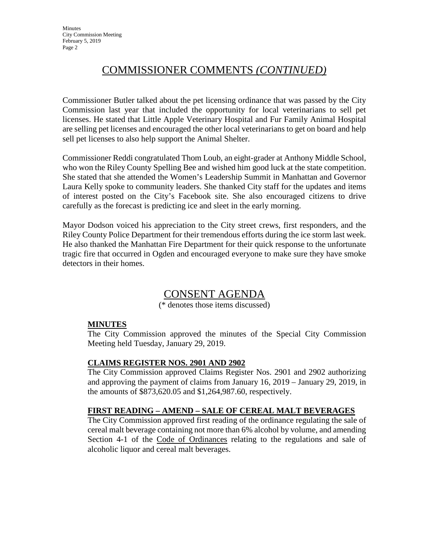# COMMISSIONER COMMENTS *(CONTINUED)*

Commissioner Butler talked about the pet licensing ordinance that was passed by the City Commission last year that included the opportunity for local veterinarians to sell pet licenses. He stated that Little Apple Veterinary Hospital and Fur Family Animal Hospital are selling pet licenses and encouraged the other local veterinarians to get on board and help sell pet licenses to also help support the Animal Shelter.

Commissioner Reddi congratulated Thom Loub, an eight-grader at Anthony Middle School, who won the Riley County Spelling Bee and wished him good luck at the state competition. She stated that she attended the Women's Leadership Summit in Manhattan and Governor Laura Kelly spoke to community leaders. She thanked City staff for the updates and items of interest posted on the City's Facebook site. She also encouraged citizens to drive carefully as the forecast is predicting ice and sleet in the early morning.

Mayor Dodson voiced his appreciation to the City street crews, first responders, and the Riley County Police Department for their tremendous efforts during the ice storm last week. He also thanked the Manhattan Fire Department for their quick response to the unfortunate tragic fire that occurred in Ogden and encouraged everyone to make sure they have smoke detectors in their homes.

## CONSENT AGENDA

(\* denotes those items discussed)

## **MINUTES**

The City Commission approved the minutes of the Special City Commission Meeting held Tuesday, January 29, 2019.

### **CLAIMS REGISTER NOS. 2901 AND 2902**

The City Commission approved Claims Register Nos. 2901 and 2902 authorizing and approving the payment of claims from January 16, 2019 – January 29, 2019, in the amounts of \$873,620.05 and \$1,264,987.60, respectively.

### **FIRST READING – AMEND – SALE OF CEREAL MALT BEVERAGES**

The City Commission approved first reading of the ordinance regulating the sale of cereal malt beverage containing not more than 6% alcohol by volume, and amending Section 4-1 of the Code of Ordinances relating to the regulations and sale of alcoholic liquor and cereal malt beverages.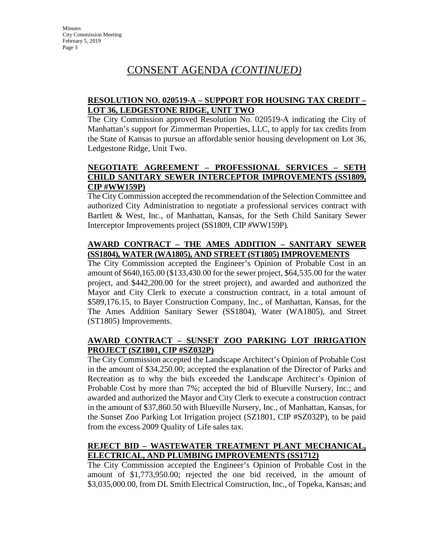# CONSENT AGENDA *(CONTINUED)*

### **RESOLUTION NO. 020519-A – SUPPORT FOR HOUSING TAX CREDIT – LOT 36, LEDGESTONE RIDGE, UNIT TWO**

The City Commission approved Resolution No. 020519-A indicating the City of Manhattan's support for Zimmerman Properties, LLC, to apply for tax credits from the State of Kansas to pursue an affordable senior housing development on Lot 36, Ledgestone Ridge, Unit Two.

### **NEGOTIATE AGREEMENT – PROFESSIONAL SERVICES – SETH CHILD SANITARY SEWER INTERCEPTOR IMPROVEMENTS (SS1809, CIP #WW159P)**

The City Commission accepted the recommendation of the Selection Committee and authorized City Administration to negotiate a professional services contract with Bartlett & West, Inc., of Manhattan, Kansas, for the Seth Child Sanitary Sewer Interceptor Improvements project (SS1809, CIP #WW159P).

### **AWARD CONTRACT – THE AMES ADDITION – SANITARY SEWER (SS1804), WATER (WA1805), AND STREET (ST1805) IMPROVEMENTS**

The City Commission accepted the Engineer's Opinion of Probable Cost in an amount of \$640,165.00 (\$133,430.00 for the sewer project, \$64,535.00 for the water project, and \$442,200.00 for the street project), and awarded and authorized the Mayor and City Clerk to execute a construction contract, in a total amount of \$589,176.15, to Bayer Construction Company, Inc., of Manhattan, Kansas, for the The Ames Addition Sanitary Sewer (SS1804), Water (WA1805), and Street (ST1805) Improvements.

### **AWARD CONTRACT – SUNSET ZOO PARKING LOT IRRIGATION PROJECT (SZ1801, CIP #SZ032P)**

The City Commission accepted the Landscape Architect's Opinion of Probable Cost in the amount of \$34,250.00; accepted the explanation of the Director of Parks and Recreation as to why the bids exceeded the Landscape Architect's Opinion of Probable Cost by more than 7%; accepted the bid of Blueville Nursery, Inc.; and awarded and authorized the Mayor and City Clerk to execute a construction contract in the amount of \$37,860.50 with Blueville Nursery, Inc., of Manhattan, Kansas, for the Sunset Zoo Parking Lot Irrigation project (SZ1801, CIP #SZ032P), to be paid from the excess 2009 Quality of Life sales tax.

## **REJECT BID – WASTEWATER TREATMENT PLANT MECHANICAL, ELECTRICAL, AND PLUMBING IMPROVEMENTS (SS1712)**

The City Commission accepted the Engineer's Opinion of Probable Cost in the amount of \$1,773,950.00; rejected the one bid received, in the amount of \$3,035,000.00, from DL Smith Electrical Construction, Inc., of Topeka, Kansas; and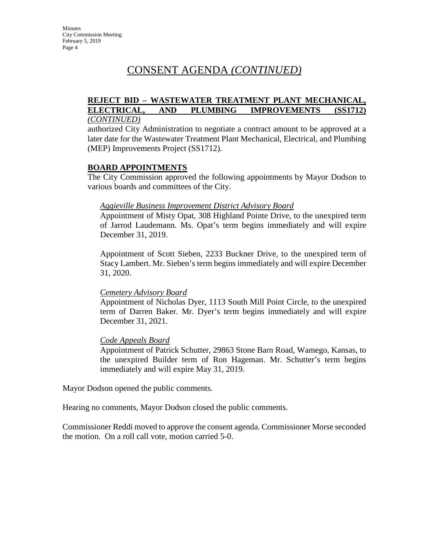# CONSENT AGENDA *(CONTINUED)*

#### **REJECT BID – WASTEWATER TREATMENT PLANT MECHANICAL, ELECTRICAL, AND PLUMBING IMPROVEMENTS (SS1712)** *(CONTINUED)*

authorized City Administration to negotiate a contract amount to be approved at a later date for the Wastewater Treatment Plant Mechanical, Electrical, and Plumbing (MEP) Improvements Project (SS1712).

#### **BOARD APPOINTMENTS**

The City Commission approved the following appointments by Mayor Dodson to various boards and committees of the City.

#### *Aggieville Business Improvement District Advisory Board*

Appointment of Misty Opat, 308 Highland Pointe Drive, to the unexpired term of Jarrod Laudemann. Ms. Opat's term begins immediately and will expire December 31, 2019.

Appointment of Scott Sieben, 2233 Buckner Drive, to the unexpired term of Stacy Lambert. Mr. Sieben's term begins immediately and will expire December 31, 2020.

#### *Cemetery Advisory Board*

Appointment of Nicholas Dyer, 1113 South Mill Point Circle, to the unexpired term of Darren Baker. Mr. Dyer's term begins immediately and will expire December 31, 2021.

#### *Code Appeals Board*

Appointment of Patrick Schutter, 29863 Stone Barn Road, Wamego, Kansas, to the unexpired Builder term of Ron Hageman. Mr. Schutter's term begins immediately and will expire May 31, 2019.

Mayor Dodson opened the public comments.

Hearing no comments, Mayor Dodson closed the public comments.

Commissioner Reddi moved to approve the consent agenda. Commissioner Morse seconded the motion. On a roll call vote, motion carried 5-0.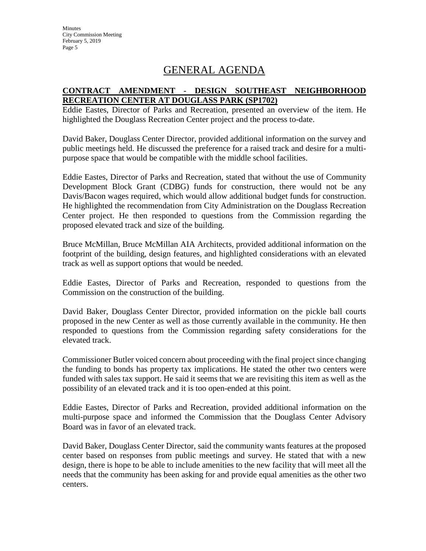**Minutes** City Commission Meeting February 5, 2019 Page 5

## GENERAL AGENDA

### **CONTRACT AMENDMENT - DESIGN SOUTHEAST NEIGHBORHOOD RECREATION CENTER AT DOUGLASS PARK (SP1702)**

Eddie Eastes, Director of Parks and Recreation, presented an overview of the item. He highlighted the Douglass Recreation Center project and the process to-date.

David Baker, Douglass Center Director, provided additional information on the survey and public meetings held. He discussed the preference for a raised track and desire for a multipurpose space that would be compatible with the middle school facilities.

Eddie Eastes, Director of Parks and Recreation, stated that without the use of Community Development Block Grant (CDBG) funds for construction, there would not be any Davis/Bacon wages required, which would allow additional budget funds for construction. He highlighted the recommendation from City Administration on the Douglass Recreation Center project. He then responded to questions from the Commission regarding the proposed elevated track and size of the building.

Bruce McMillan, Bruce McMillan AIA Architects, provided additional information on the footprint of the building, design features, and highlighted considerations with an elevated track as well as support options that would be needed.

Eddie Eastes, Director of Parks and Recreation, responded to questions from the Commission on the construction of the building.

David Baker, Douglass Center Director, provided information on the pickle ball courts proposed in the new Center as well as those currently available in the community. He then responded to questions from the Commission regarding safety considerations for the elevated track.

Commissioner Butler voiced concern about proceeding with the final project since changing the funding to bonds has property tax implications. He stated the other two centers were funded with sales tax support. He said it seems that we are revisiting this item as well as the possibility of an elevated track and it is too open-ended at this point.

Eddie Eastes, Director of Parks and Recreation, provided additional information on the multi-purpose space and informed the Commission that the Douglass Center Advisory Board was in favor of an elevated track.

David Baker, Douglass Center Director, said the community wants features at the proposed center based on responses from public meetings and survey. He stated that with a new design, there is hope to be able to include amenities to the new facility that will meet all the needs that the community has been asking for and provide equal amenities as the other two centers.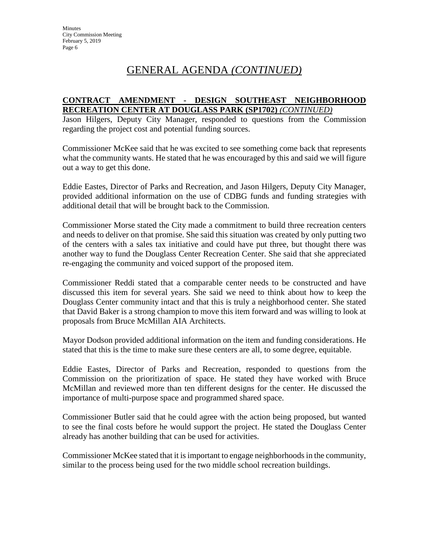## GENERAL AGENDA *(CONTINUED)*

#### **CONTRACT AMENDMENT - DESIGN SOUTHEAST NEIGHBORHOOD RECREATION CENTER AT DOUGLASS PARK (SP1702)** *(CONTINUED)*

Jason Hilgers, Deputy City Manager, responded to questions from the Commission regarding the project cost and potential funding sources.

Commissioner McKee said that he was excited to see something come back that represents what the community wants. He stated that he was encouraged by this and said we will figure out a way to get this done.

Eddie Eastes, Director of Parks and Recreation, and Jason Hilgers, Deputy City Manager, provided additional information on the use of CDBG funds and funding strategies with additional detail that will be brought back to the Commission.

Commissioner Morse stated the City made a commitment to build three recreation centers and needs to deliver on that promise. She said this situation was created by only putting two of the centers with a sales tax initiative and could have put three, but thought there was another way to fund the Douglass Center Recreation Center. She said that she appreciated re-engaging the community and voiced support of the proposed item.

Commissioner Reddi stated that a comparable center needs to be constructed and have discussed this item for several years. She said we need to think about how to keep the Douglass Center community intact and that this is truly a neighborhood center. She stated that David Baker is a strong champion to move this item forward and was willing to look at proposals from Bruce McMillan AIA Architects.

Mayor Dodson provided additional information on the item and funding considerations. He stated that this is the time to make sure these centers are all, to some degree, equitable.

Eddie Eastes, Director of Parks and Recreation, responded to questions from the Commission on the prioritization of space. He stated they have worked with Bruce McMillan and reviewed more than ten different designs for the center. He discussed the importance of multi-purpose space and programmed shared space.

Commissioner Butler said that he could agree with the action being proposed, but wanted to see the final costs before he would support the project. He stated the Douglass Center already has another building that can be used for activities.

Commissioner McKee stated that it is important to engage neighborhoods in the community, similar to the process being used for the two middle school recreation buildings.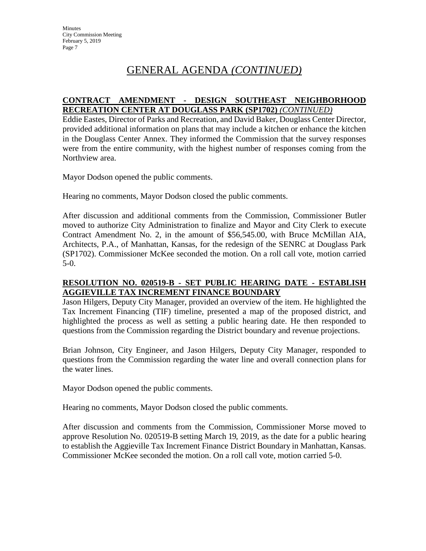## GENERAL AGENDA *(CONTINUED)*

### **CONTRACT AMENDMENT - DESIGN SOUTHEAST NEIGHBORHOOD RECREATION CENTER AT DOUGLASS PARK (SP1702)** *(CONTINUED)*

Eddie Eastes, Director of Parks and Recreation, and David Baker, Douglass Center Director, provided additional information on plans that may include a kitchen or enhance the kitchen in the Douglass Center Annex. They informed the Commission that the survey responses were from the entire community, with the highest number of responses coming from the Northview area.

Mayor Dodson opened the public comments.

Hearing no comments, Mayor Dodson closed the public comments.

After discussion and additional comments from the Commission, Commissioner Butler moved to authorize City Administration to finalize and Mayor and City Clerk to execute Contract Amendment No. 2, in the amount of \$56,545.00, with Bruce McMillan AIA, Architects, P.A., of Manhattan, Kansas, for the redesign of the SENRC at Douglass Park (SP1702). Commissioner McKee seconded the motion. On a roll call vote, motion carried 5-0.

### **RESOLUTION NO. 020519-B - SET PUBLIC HEARING DATE - ESTABLISH AGGIEVILLE TAX INCREMENT FINANCE BOUNDARY**

Jason Hilgers, Deputy City Manager, provided an overview of the item. He highlighted the Tax Increment Financing (TIF) timeline, presented a map of the proposed district, and highlighted the process as well as setting a public hearing date. He then responded to questions from the Commission regarding the District boundary and revenue projections.

Brian Johnson, City Engineer, and Jason Hilgers, Deputy City Manager, responded to questions from the Commission regarding the water line and overall connection plans for the water lines.

Mayor Dodson opened the public comments.

Hearing no comments, Mayor Dodson closed the public comments.

After discussion and comments from the Commission, Commissioner Morse moved to approve Resolution No. 020519-B setting March 19, 2019, as the date for a public hearing to establish the Aggieville Tax Increment Finance District Boundary in Manhattan, Kansas. Commissioner McKee seconded the motion. On a roll call vote, motion carried 5-0.